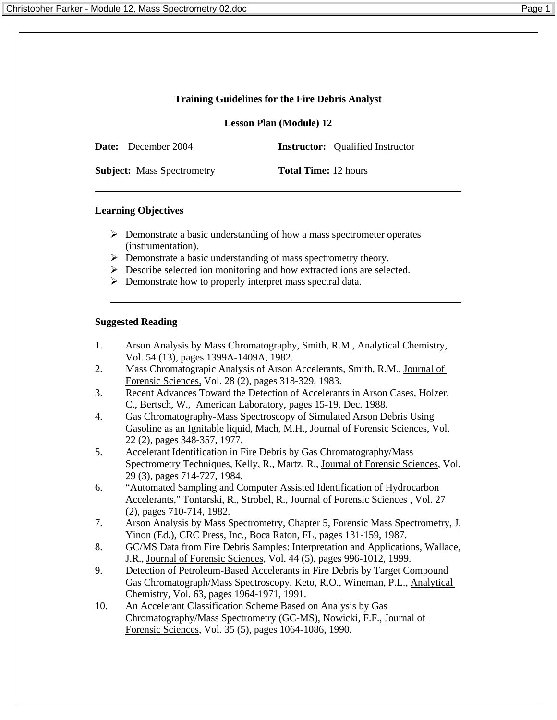# **Training Guidelines for the Fire Debris Analyst**

**Lesson Plan (Module) 12**

**Date:** December 2004 **Instructor:** Oualified Instructor

**Subject:** Mass Spectrometry **Total Time:** 12 hours

# **Learning Objectives**

- $\triangleright$  Demonstrate a basic understanding of how a mass spectrometer operates (instrumentation).
- ¾ Demonstrate a basic understanding of mass spectrometry theory.
- ¾ Describe selected ion monitoring and how extracted ions are selected.
- $\triangleright$  Demonstrate how to properly interpret mass spectral data.

## **Suggested Reading**

- 1. Arson Analysis by Mass Chromatography, Smith, R.M., Analytical Chemistry, Vol. 54 (13), pages 1399A-1409A, 1982.
- 2. Mass Chromatograpic Analysis of Arson Accelerants, Smith, R.M., Journal of Forensic Sciences, Vol. 28 (2), pages 318-329, 1983.
- 3. Recent Advances Toward the Detection of Accelerants in Arson Cases, Holzer, C., Bertsch, W., American Laboratory, pages 15-19, Dec. 1988.
- 4. Gas Chromatography-Mass Spectroscopy of Simulated Arson Debris Using Gasoline as an Ignitable liquid, Mach, M.H., Journal of Forensic Sciences, Vol. 22 (2), pages 348-357, 1977.
- 5. Accelerant Identification in Fire Debris by Gas Chromatography/Mass Spectrometry Techniques*,* Kelly, R., Martz, R., Journal of Forensic Sciences, Vol. 29 (3), pages 714-727, 1984.
- 6. "Automated Sampling and Computer Assisted Identification of Hydrocarbon Accelerants," Tontarski, R., Strobel, R., Journal of Forensic Sciences , Vol. 27 (2), pages 710-714, 1982.
- 7. Arson Analysis by Mass Spectrometry, Chapter 5, Forensic Mass Spectrometry, J. Yinon (Ed.), CRC Press*,* Inc., Boca Raton, FL, pages 131-159, 1987.
- 8. GC/MS Data from Fire Debris Samples: Interpretation and Applications, Wallace, J.R., Journal of Forensic Sciences, Vol. 44 (5), pages 996-1012, 1999.
- 9. Detection of Petroleum-Based Accelerants in Fire Debris by Target Compound Gas Chromatograph/Mass Spectroscopy, Keto, R.O., Wineman, P.L., Analytical Chemistry, Vol. 63, pages 1964-1971, 1991.
- 10. An Accelerant Classification Scheme Based on Analysis by Gas Chromatography/Mass Spectrometry (GC-MS), Nowicki, F.F., Journal of Forensic Sciences, Vol. 35 (5), pages 1064-1086, 1990.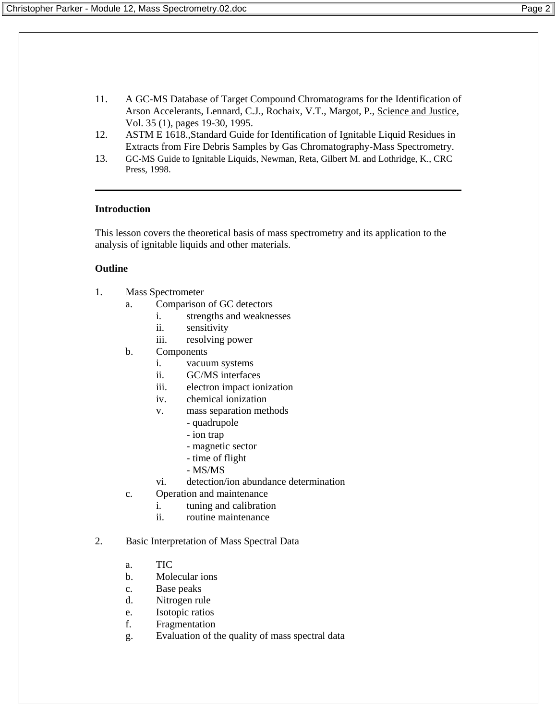- 11. A GC-MS Database of Target Compound Chromatograms for the Identification of Arson Accelerants, Lennard, C.J., Rochaix, V.T., Margot, P., Science and Justice, Vol. 35 (1), pages 19-30, 1995.
- 12. ASTM E 1618.,Standard Guide for Identification of Ignitable Liquid Residues in Extracts from Fire Debris Samples by Gas Chromatography-Mass Spectrometry.
- 13. GC-MS Guide to Ignitable Liquids, Newman, Reta, Gilbert M. and Lothridge, K., CRC Press, 1998.

#### **Introduction**

This lesson covers the theoretical basis of mass spectrometry and its application to the analysis of ignitable liquids and other materials.

#### **Outline**

- 1. Mass Spectrometer
	- a. Comparison of GC detectors
		- i. strengths and weaknesses
		- ii. sensitivity
		- iii. resolving power
	- b. Components
		- i. vacuum systems
		- ii. GC/MS interfaces
		- iii. electron impact ionization
		- iv. chemical ionization
		- v. mass separation methods
			- quadrupole
			- ion trap
			- magnetic sector
			- time of flight
			- MS/MS
		- vi. detection/ion abundance determination
	- c. Operation and maintenance
		- i. tuning and calibration
		- ii. routine maintenance
- 2. Basic Interpretation of Mass Spectral Data
	- a. TIC
	- b. Molecular ions
	- c. Base peaks
	- d. Nitrogen rule
	- e. Isotopic ratios
	- f. Fragmentation
	- g. Evaluation of the quality of mass spectral data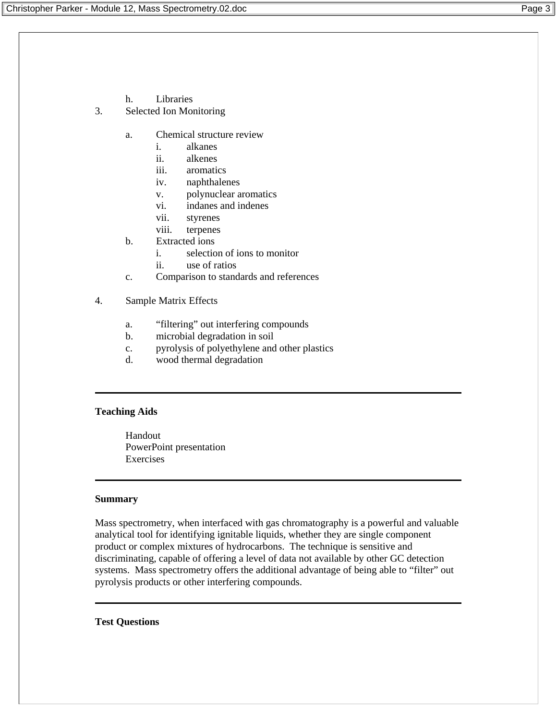- h. Libraries
- 3. Selected Ion Monitoring
	- a. Chemical structure review
		- i. alkanes
		- ii. alkenes
		- iii. aromatics
		- iv. naphthalenes
		- v. polynuclear aromatics
		- vi. indanes and indenes
		- vii. styrenes
		- viii. terpenes
	- b. Extracted ions
		- i. selection of ions to monitor
			- ii. use of ratios
	- c. Comparison to standards and references
- 4. Sample Matrix Effects
	- a. "filtering" out interfering compounds
	- b. microbial degradation in soil
	- c. pyrolysis of polyethylene and other plastics
	- d. wood thermal degradation

## **Teaching Aids**

Handout PowerPoint presentation Exercises

## **Summary**

Mass spectrometry, when interfaced with gas chromatography is a powerful and valuable analytical tool for identifying ignitable liquids, whether they are single component product or complex mixtures of hydrocarbons. The technique is sensitive and discriminating, capable of offering a level of data not available by other GC detection systems. Mass spectrometry offers the additional advantage of being able to "filter" out pyrolysis products or other interfering compounds.

## **Test Questions**